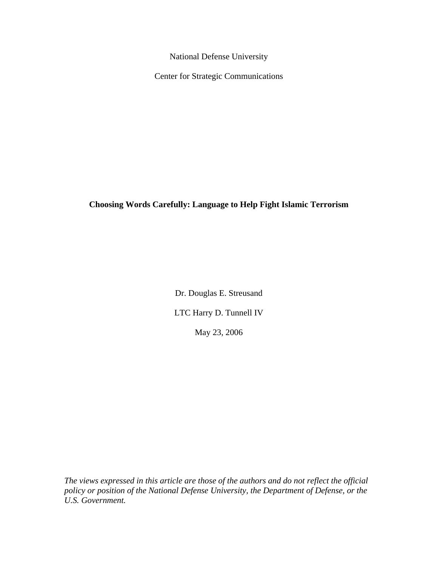National Defense University

Center for Strategic Communications

**Choosing Words Carefully: Language to Help Fight Islamic Terrorism** 

Dr. Douglas E. Streusand LTC Harry D. Tunnell IV May 23, 2006

*The views expressed in this article are those of the authors and do not reflect the official policy or position of the National Defense University, the Department of Defense, or the U.S. Government.*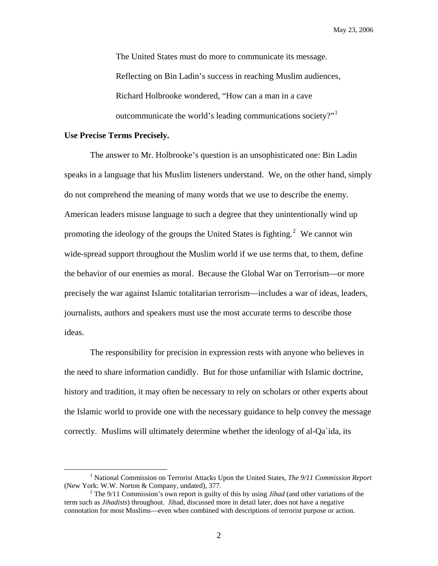The United States must do more to communicate its message. Reflecting on Bin Ladin's success in reaching Muslim audiences, Richard Holbrooke wondered, "How can a man in a cave outcommunicate the world's leading communications society?"[1](#page-1-0)

## **Use Precise Terms Precisely.**

The answer to Mr. Holbrooke's question is an unsophisticated one: Bin Ladin speaks in a language that his Muslim listeners understand. We, on the other hand, simply do not comprehend the meaning of many words that we use to describe the enemy. American leaders misuse language to such a degree that they unintentionally wind up promoting the ideology of the groups the United States is fighting.<sup>[2](#page-1-1)</sup> We cannot win wide-spread support throughout the Muslim world if we use terms that, to them, define the behavior of our enemies as moral. Because the Global War on Terrorism—or more precisely the war against Islamic totalitarian terrorism—includes a war of ideas, leaders, journalists, authors and speakers must use the most accurate terms to describe those ideas.

The responsibility for precision in expression rests with anyone who believes in the need to share information candidly. But for those unfamiliar with Islamic doctrine, history and tradition, it may often be necessary to rely on scholars or other experts about the Islamic world to provide one with the necessary guidance to help convey the message correctly. Muslims will ultimately determine whether the ideology of al-Qa`ida, its

<span id="page-1-0"></span> $\frac{1}{1}$ <sup>1</sup> National Commission on Terrorist Attacks Upon the United States, *The 9/11 Commission Report* (New York: W.W. Norton & Company, undated), 377.

<span id="page-1-1"></span><sup>&</sup>lt;sup>2</sup> The 9/11 Commission's own report is guilty of this by using *Jihad* (and other variations of the term such as *Jihadists*) throughout. Jihad, discussed more in detail later, does not have a negative connotation for most Muslims—even when combined with descriptions of terrorist purpose or action.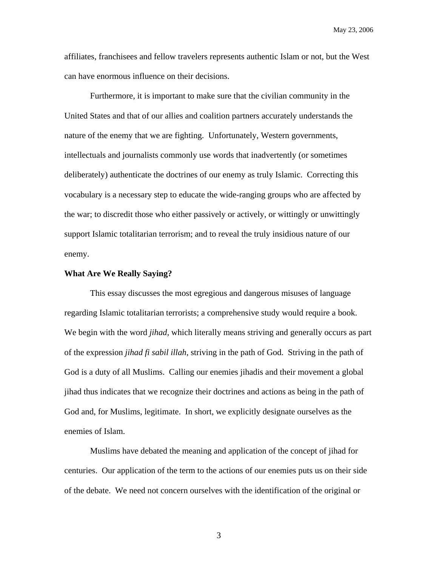affiliates, franchisees and fellow travelers represents authentic Islam or not, but the West can have enormous influence on their decisions.

Furthermore, it is important to make sure that the civilian community in the United States and that of our allies and coalition partners accurately understands the nature of the enemy that we are fighting. Unfortunately, Western governments, intellectuals and journalists commonly use words that inadvertently (or sometimes deliberately) authenticate the doctrines of our enemy as truly Islamic. Correcting this vocabulary is a necessary step to educate the wide-ranging groups who are affected by the war; to discredit those who either passively or actively, or wittingly or unwittingly support Islamic totalitarian terrorism; and to reveal the truly insidious nature of our enemy.

## **What Are We Really Saying?**

This essay discusses the most egregious and dangerous misuses of language regarding Islamic totalitarian terrorists; a comprehensive study would require a book. We begin with the word *jihad,* which literally means striving and generally occurs as part of the expression *jihad fi sabil illah*, striving in the path of God. Striving in the path of God is a duty of all Muslims. Calling our enemies jihadis and their movement a global jihad thus indicates that we recognize their doctrines and actions as being in the path of God and, for Muslims, legitimate. In short, we explicitly designate ourselves as the enemies of Islam.

Muslims have debated the meaning and application of the concept of jihad for centuries. Our application of the term to the actions of our enemies puts us on their side of the debate. We need not concern ourselves with the identification of the original or

3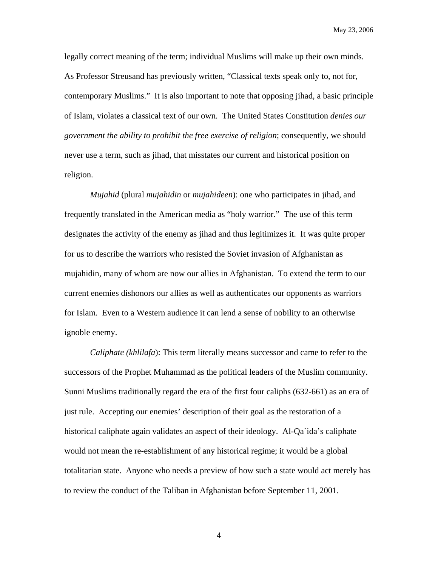legally correct meaning of the term; individual Muslims will make up their own minds. As Professor Streusand has previously written, "Classical texts speak only to, not for, contemporary Muslims." It is also important to note that opposing jihad, a basic principle of Islam, violates a classical text of our own. The United States Constitution *denies our government the ability to prohibit the free exercise of religion*; consequently, we should never use a term, such as jihad, that misstates our current and historical position on religion.

*Mujahid* (plural *mujahidin* or *mujahideen*): one who participates in jihad, and frequently translated in the American media as "holy warrior." The use of this term designates the activity of the enemy as jihad and thus legitimizes it. It was quite proper for us to describe the warriors who resisted the Soviet invasion of Afghanistan as mujahidin, many of whom are now our allies in Afghanistan. To extend the term to our current enemies dishonors our allies as well as authenticates our opponents as warriors for Islam. Even to a Western audience it can lend a sense of nobility to an otherwise ignoble enemy.

*Caliphate (khlilafa*): This term literally means successor and came to refer to the successors of the Prophet Muhammad as the political leaders of the Muslim community. Sunni Muslims traditionally regard the era of the first four caliphs (632-661) as an era of just rule. Accepting our enemies' description of their goal as the restoration of a historical caliphate again validates an aspect of their ideology. Al-Qa`ida's caliphate would not mean the re-establishment of any historical regime; it would be a global totalitarian state. Anyone who needs a preview of how such a state would act merely has to review the conduct of the Taliban in Afghanistan before September 11, 2001.

4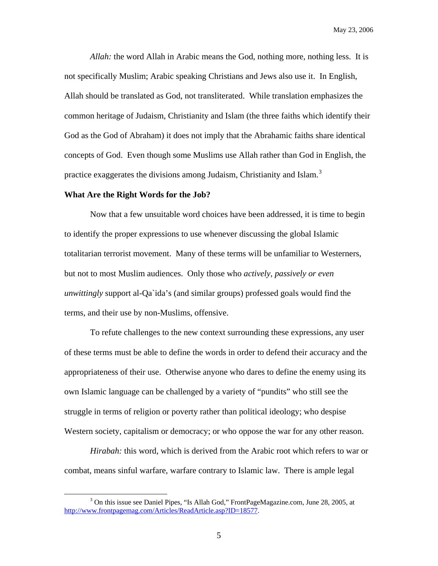*Allah:* the word Allah in Arabic means the God, nothing more, nothing less. It is not specifically Muslim; Arabic speaking Christians and Jews also use it. In English, Allah should be translated as God, not transliterated. While translation emphasizes the common heritage of Judaism, Christianity and Islam (the three faiths which identify their God as the God of Abraham) it does not imply that the Abrahamic faiths share identical concepts of God. Even though some Muslims use Allah rather than God in English, the practice exaggerates the divisions among Judaism, Christianity and Islam.<sup>[3](#page-4-0)</sup>

## **What Are the Right Words for the Job?**

Now that a few unsuitable word choices have been addressed, it is time to begin to identify the proper expressions to use whenever discussing the global Islamic totalitarian terrorist movement. Many of these terms will be unfamiliar to Westerners, but not to most Muslim audiences. Only those who *actively, passively or even unwittingly* support al-Qa`ida's (and similar groups) professed goals would find the terms, and their use by non-Muslims, offensive.

To refute challenges to the new context surrounding these expressions, any user of these terms must be able to define the words in order to defend their accuracy and the appropriateness of their use. Otherwise anyone who dares to define the enemy using its own Islamic language can be challenged by a variety of "pundits" who still see the struggle in terms of religion or poverty rather than political ideology; who despise Western society, capitalism or democracy; or who oppose the war for any other reason.

*Hirabah:* this word, which is derived from the Arabic root which refers to war or combat, means sinful warfare, warfare contrary to Islamic law. There is ample legal

<span id="page-4-0"></span> <sup>3</sup> <sup>3</sup> On this issue see Daniel Pipes, "Is Allah God," FrontPageMagazine.com, June 28, 2005, at <http://www.frontpagemag.com/Articles/ReadArticle.asp?ID=18577>.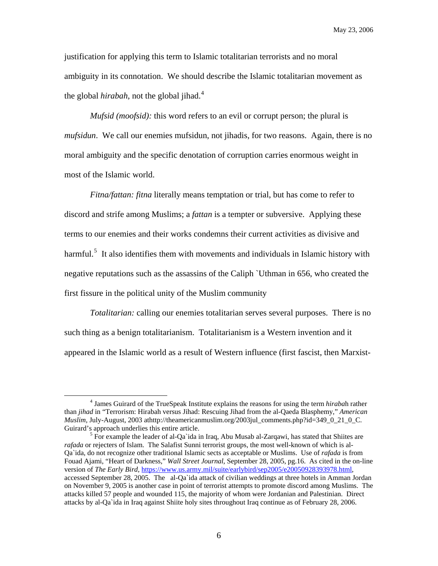justification for applying this term to Islamic totalitarian terrorists and no moral ambiguity in its connotation. We should describe the Islamic totalitarian movement as the global *hirabah*, not the global jihad.<sup>[4](#page-5-0)</sup>

*Mufsid (moofsid)*: this word refers to an evil or corrupt person; the plural is *mufsidun*. We call our enemies mufsidun, not jihadis, for two reasons. Again, there is no moral ambiguity and the specific denotation of corruption carries enormous weight in most of the Islamic world.

*Fitna/fattan: fitna* literally means temptation or trial, but has come to refer to discord and strife among Muslims; a *fattan* is a tempter or subversive. Applying these terms to our enemies and their works condemns their current activities as divisive and harmful.<sup>[5](#page-5-1)</sup> It also identifies them with movements and individuals in Islamic history with negative reputations such as the assassins of the Caliph `Uthman in 656, who created the first fissure in the political unity of the Muslim community

*Totalitarian:* calling our enemies totalitarian serves several purposes. There is no such thing as a benign totalitarianism. Totalitarianism is a Western invention and it appeared in the Islamic world as a result of Western influence (first fascist, then Marxist-

<span id="page-5-0"></span> $\frac{1}{4}$  James Guirard of the TrueSpeak Institute explains the reasons for using the term *hiraba*h rather than *jihad* in "Terrorism: Hirabah versus Jihad: Rescuing Jihad from the al-Qaeda Blasphemy," *American Muslim,* July-August, 2003 athttp://theamericanmuslim.org/2003jul\_comments.php?id=349\_0\_21\_0\_C. Guirard's approach underlies this entire article. 5

<span id="page-5-1"></span> $5$  For example the leader of al-Qa`ida in Iraq, Abu Musab al-Zarqawi, has stated that Shiites are *rafada* or rejecters of Islam. The Salafist Sunni terrorist groups, the most well-known of which is al-Qa`ida, do not recognize other traditional Islamic sects as acceptable or Muslims. Use of *rafada* is from Fouad Ajami, "Heart of Darkness," *Wall Street Journal*, September 28, 2005, pg.16. As cited in the on-line version of *The Early Bird*, <https://www.us.army.mil/suite/earlybird/sep2005/e20050928393978.html>, accessed September 28, 2005. The al-Qa`ida attack of civilian weddings at three hotels in Amman Jordan on November 9, 2005 is another case in point of terrorist attempts to promote discord among Muslims. The attacks killed 57 people and wounded 115, the majority of whom were Jordanian and Palestinian. Direct attacks by al-Qa`ida in Iraq against Shiite holy sites throughout Iraq continue as of February 28, 2006.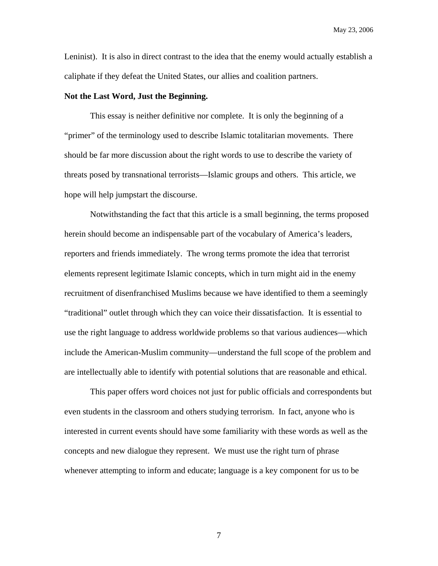Leninist). It is also in direct contrast to the idea that the enemy would actually establish a caliphate if they defeat the United States, our allies and coalition partners.

## **Not the Last Word, Just the Beginning.**

This essay is neither definitive nor complete. It is only the beginning of a "primer" of the terminology used to describe Islamic totalitarian movements. There should be far more discussion about the right words to use to describe the variety of threats posed by transnational terrorists—Islamic groups and others. This article, we hope will help jumpstart the discourse.

Notwithstanding the fact that this article is a small beginning, the terms proposed herein should become an indispensable part of the vocabulary of America's leaders, reporters and friends immediately. The wrong terms promote the idea that terrorist elements represent legitimate Islamic concepts, which in turn might aid in the enemy recruitment of disenfranchised Muslims because we have identified to them a seemingly "traditional" outlet through which they can voice their dissatisfaction. It is essential to use the right language to address worldwide problems so that various audiences—which include the American-Muslim community—understand the full scope of the problem and are intellectually able to identify with potential solutions that are reasonable and ethical.

This paper offers word choices not just for public officials and correspondents but even students in the classroom and others studying terrorism. In fact, anyone who is interested in current events should have some familiarity with these words as well as the concepts and new dialogue they represent. We must use the right turn of phrase whenever attempting to inform and educate; language is a key component for us to be

7